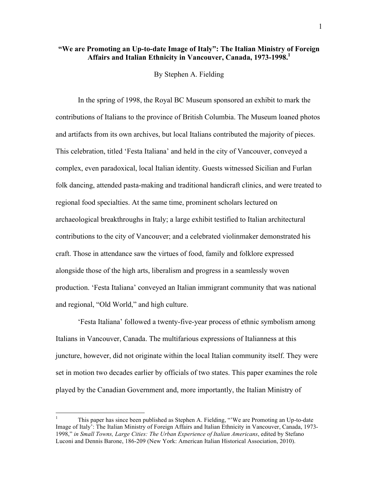## **"We are Promoting an Up-to-date Image of Italy": The Italian Ministry of Foreign**  Affairs and Italian Ethnicity in Vancouver, Canada, 1973-1998.<sup>1</sup>

By Stephen A. Fielding

In the spring of 1998, the Royal BC Museum sponsored an exhibit to mark the contributions of Italians to the province of British Columbia. The Museum loaned photos and artifacts from its own archives, but local Italians contributed the majority of pieces. This celebration, titled 'Festa Italiana' and held in the city of Vancouver, conveyed a complex, even paradoxical, local Italian identity. Guests witnessed Sicilian and Furlan folk dancing, attended pasta-making and traditional handicraft clinics, and were treated to regional food specialties. At the same time, prominent scholars lectured on archaeological breakthroughs in Italy; a large exhibit testified to Italian architectural contributions to the city of Vancouver; and a celebrated violinmaker demonstrated his craft. Those in attendance saw the virtues of food, family and folklore expressed alongside those of the high arts, liberalism and progress in a seamlessly woven production. 'Festa Italiana' conveyed an Italian immigrant community that was national and regional, "Old World," and high culture.

'Festa Italiana' followed a twenty-five-year process of ethnic symbolism among Italians in Vancouver, Canada. The multifarious expressions of Italianness at this juncture, however, did not originate within the local Italian community itself. They were set in motion two decades earlier by officials of two states. This paper examines the role played by the Canadian Government and, more importantly, the Italian Ministry of

 <sup>1</sup> This paper has since been published as Stephen A. Fielding, "'We are Promoting an Up-to-date Image of Italy': The Italian Ministry of Foreign Affairs and Italian Ethnicity in Vancouver, Canada, 1973- 1998," *in Small Towns, Large Cities: The Urban Experience of Italian Americans*, edited by Stefano Luconi and Dennis Barone, 186-209 (New York: American Italian Historical Association, 2010).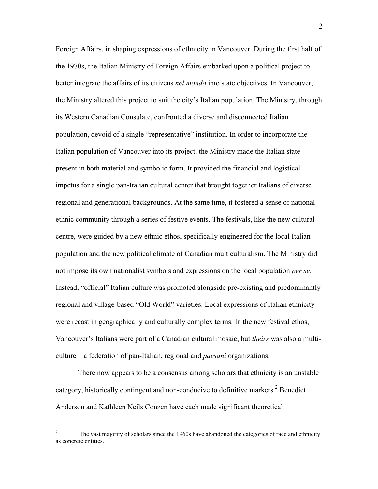Foreign Affairs, in shaping expressions of ethnicity in Vancouver. During the first half of the 1970s, the Italian Ministry of Foreign Affairs embarked upon a political project to better integrate the affairs of its citizens *nel mondo* into state objectives. In Vancouver, the Ministry altered this project to suit the city's Italian population. The Ministry, through its Western Canadian Consulate, confronted a diverse and disconnected Italian population, devoid of a single "representative" institution. In order to incorporate the Italian population of Vancouver into its project, the Ministry made the Italian state present in both material and symbolic form. It provided the financial and logistical impetus for a single pan-Italian cultural center that brought together Italians of diverse regional and generational backgrounds. At the same time, it fostered a sense of national ethnic community through a series of festive events. The festivals, like the new cultural centre, were guided by a new ethnic ethos, specifically engineered for the local Italian population and the new political climate of Canadian multiculturalism. The Ministry did not impose its own nationalist symbols and expressions on the local population *per se*. Instead, "official" Italian culture was promoted alongside pre-existing and predominantly regional and village-based "Old World" varieties. Local expressions of Italian ethnicity were recast in geographically and culturally complex terms. In the new festival ethos, Vancouver's Italians were part of a Canadian cultural mosaic, but *theirs* was also a multiculture—a federation of pan-Italian, regional and *paesani* organizations.

There now appears to be a consensus among scholars that ethnicity is an unstable category, historically contingent and non-conducive to definitive markers.<sup>2</sup> Benedict Anderson and Kathleen Neils Conzen have each made significant theoretical

<sup>&</sup>lt;sup>2</sup> The vast majority of scholars since the 1960s have abandoned the categories of race and ethnicity as concrete entities.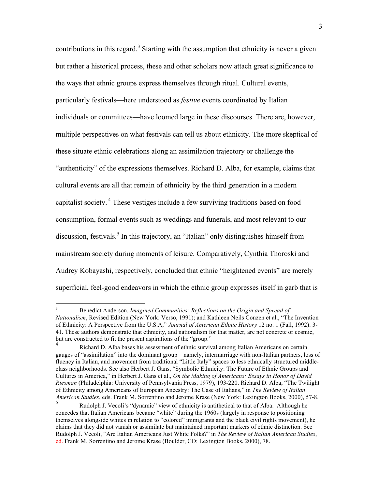contributions in this regard.<sup>3</sup> Starting with the assumption that ethnicity is never a given but rather a historical process, these and other scholars now attach great significance to the ways that ethnic groups express themselves through ritual. Cultural events, particularly festivals—here understood as *festive* events coordinated by Italian individuals or committees—have loomed large in these discourses. There are, however, multiple perspectives on what festivals can tell us about ethnicity. The more skeptical of these situate ethnic celebrations along an assimilation trajectory or challenge the "authenticity" of the expressions themselves. Richard D. Alba, for example, claims that cultural events are all that remain of ethnicity by the third generation in a modern capitalist society. <sup>4</sup> These vestiges include a few surviving traditions based on food consumption, formal events such as weddings and funerals, and most relevant to our discussion, festivals.<sup>5</sup> In this trajectory, an "Italian" only distinguishes himself from mainstream society during moments of leisure. Comparatively, Cynthia Thoroski and Audrey Kobayashi, respectively, concluded that ethnic "heightened events" are merely superficial, feel-good endeavors in which the ethnic group expresses itself in garb that is

 <sup>3</sup> Benedict Anderson, *Imagined Communities: Reflections on the Origin and Spread of Nationalism*, Revised Edition (New York: Verso, 1991); and Kathleen Neils Conzen et al., "The Invention of Ethnicity: A Perspective from the U.S.A," *Journal of American Ethnic History* 12 no. 1 (Fall, 1992): 3- 41. These authors demonstrate that ethnicity, and nationalism for that matter, are not concrete or cosmic, but are constructed to fit the present aspirations of the "group."

<sup>4</sup> Richard D. Alba bases his assessment of ethnic survival among Italian Americans on certain gauges of "assimilation" into the dominant group—namely, intermarriage with non-Italian partners, loss of fluency in Italian, and movement from traditional "Little Italy" spaces to less ethnically structured middleclass neighborhoods. See also Herbert J. Gans, "Symbolic Ethnicity: The Future of Ethnic Groups and Cultures in America," in Herbert J. Gans et al., *On the Making of Americans: Essays in Honor of David Riesman* (Philadelphia: University of Pennsylvania Press, 1979), 193-220. Richard D. Alba, "The Twilight of Ethnicity among Americans of European Ancestry: The Case of Italians," in *The Review of Italian American Studies*, eds. Frank M. Sorrentino and Jerome Krase (New York: Lexington Books, 2000), 57-8.

<sup>5</sup> Rudolph J. Vecoli's "dynamic" view of ethnicity is antithetical to that of Alba. Although he concedes that Italian Americans became "white" during the 1960s (largely in response to positioning themselves alongside whites in relation to "colored" immigrants and the black civil rights movement), he claims that they did not vanish or assimilate but maintained important markers of ethnic distinction. See Rudolph J. Vecoli, "Are Italian Americans Just White Folks?" in *The Review of Italian American Studies*, ed. Frank M. Sorrentino and Jerome Krase (Boulder, CO: Lexington Books, 2000), 78.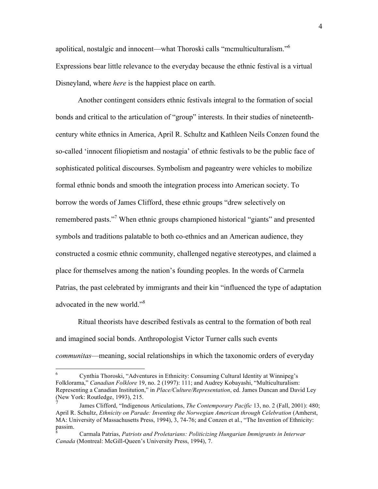apolitical, nostalgic and innocent—what Thoroski calls "mcmulticulturalism."6 Expressions bear little relevance to the everyday because the ethnic festival is a virtual Disneyland, where *here* is the happiest place on earth.

Another contingent considers ethnic festivals integral to the formation of social bonds and critical to the articulation of "group" interests. In their studies of nineteenthcentury white ethnics in America, April R. Schultz and Kathleen Neils Conzen found the so-called 'innocent filiopietism and nostagia' of ethnic festivals to be the public face of sophisticated political discourses. Symbolism and pageantry were vehicles to mobilize formal ethnic bonds and smooth the integration process into American society. To borrow the words of James Clifford, these ethnic groups "drew selectively on remembered pasts."<sup>7</sup> When ethnic groups championed historical "giants" and presented symbols and traditions palatable to both co-ethnics and an American audience, they constructed a cosmic ethnic community, challenged negative stereotypes, and claimed a place for themselves among the nation's founding peoples. In the words of Carmela Patrias, the past celebrated by immigrants and their kin "influenced the type of adaptation advocated in the new world."<sup>8</sup>

Ritual theorists have described festivals as central to the formation of both real and imagined social bonds. Anthropologist Victor Turner calls such events *communitas*—meaning, social relationships in which the taxonomic orders of everyday

 <sup>6</sup> Cynthia Thoroski, "Adventures in Ethnicity: Consuming Cultural Identity at Winnipeg's Folklorama," *Canadian Folklore* 19, no. 2 (1997): 111; and Audrey Kobayashi, "Multiculturalism: Representing a Canadian Institution," in *Place/Culture/Representation*, ed. James Duncan and David Ley (New York: Routledge, 1993), 215.

<sup>7</sup> James Clifford, "Indigenous Articulations, *The Contemporary Pacific* 13, no. 2 (Fall, 2001): 480; April R. Schultz, *Ethnicity on Parade: Inventing the Norwegian American through Celebration* (Amherst, MA: University of Massachusetts Press, 1994), 3, 74-76; and Conzen et al., "The Invention of Ethnicity: passim.

<sup>8</sup> Carmala Patrias, *Patriots and Proletarians: Politicizing Hungarian Immigrants in Interwar Canada* (Montreal: McGill-Queen's University Press, 1994), 7.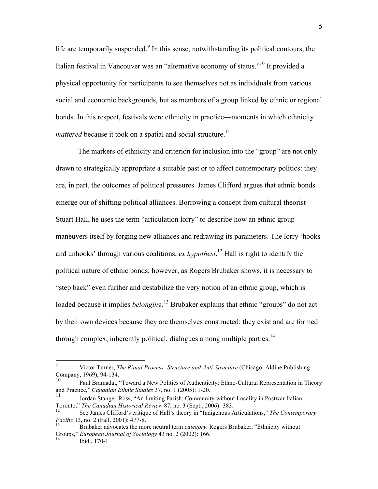life are temporarily suspended. $9$  In this sense, notwithstanding its political contours, the Italian festival in Vancouver was an "alternative economy of status."<sup>10</sup> It provided a physical opportunity for participants to see themselves not as individuals from various social and economic backgrounds, but as members of a group linked by ethnic or regional bonds. In this respect, festivals were ethnicity in practice—moments in which ethnicity *mattered* because it took on a spatial and social structure.<sup>11</sup>

The markers of ethnicity and criterion for inclusion into the "group" are not only drawn to strategically appropriate a suitable past or to affect contemporary politics: they are, in part, the outcomes of political pressures. James Clifford argues that ethnic bonds emerge out of shifting political alliances. Borrowing a concept from cultural theorist Stuart Hall, he uses the term "articulation lorry" to describe how an ethnic group maneuvers itself by forging new alliances and redrawing its parameters. The lorry 'hooks and unhooks' through various coalitions, *ex hypothesi*. <sup>12</sup> Hall is right to identify the political nature of ethnic bonds; however, as Rogers Brubaker shows, it is necessary to "step back" even further and destabilize the very notion of an ethnic group, which is loaded because it implies *belonging*. <sup>13</sup> Brubaker explains that ethnic "groups" do not act by their own devices because they are themselves constructed: they exist and are formed through complex, inherently political, dialogues among multiple parties.<sup>14</sup>

 <sup>9</sup> Victor Turner, *The Ritual Process: Structure and Anti-Structure* (Chicago: Aldine Publishing Company, 1969), 94-134.

<sup>10</sup> Paul Bramadat, "Toward a New Politics of Authenticity: Ethno-Cultural Representation in Theory and Practice," *Canadian Ethnic Studies* 37, no. 1 (2005): 1-20.

Jordan Stanger-Ross, "An Inviting Parish: Community without Locality in Postwar Italian Toronto," *The Canadian Historical Review* 87, no. 3 (Sept., 2006): 383.<br><sup>12</sup> See James Clifford's critique of Hall's theory in "Indigenous Articulations," *The Contemporary* 

*Pacific* 13, no. 2 (Fall, 2001): 477-8.<br><sup>13</sup> Brubaker advocates the more neutral term *category*. Rogers Brubaker, "Ethnicity without

Groups," *European Journal of Sociology* 43 no. 2 (2002): 166.<br><sup>14</sup> Ibid., 170-1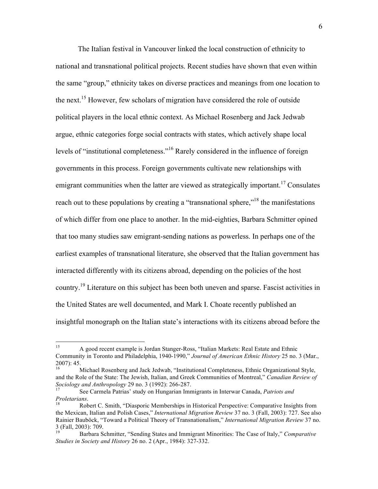The Italian festival in Vancouver linked the local construction of ethnicity to national and transnational political projects. Recent studies have shown that even within the same "group," ethnicity takes on diverse practices and meanings from one location to the next.<sup>15</sup> However, few scholars of migration have considered the role of outside political players in the local ethnic context. As Michael Rosenberg and Jack Jedwab argue, ethnic categories forge social contracts with states, which actively shape local levels of "institutional completeness."<sup>16</sup> Rarely considered in the influence of foreign governments in this process. Foreign governments cultivate new relationships with emigrant communities when the latter are viewed as strategically important.<sup>17</sup> Consulates reach out to these populations by creating a "transnational sphere,"<sup>18</sup> the manifestations of which differ from one place to another. In the mid-eighties, Barbara Schmitter opined that too many studies saw emigrant-sending nations as powerless. In perhaps one of the earliest examples of transnational literature, she observed that the Italian government has interacted differently with its citizens abroad, depending on the policies of the host country.<sup>19</sup> Literature on this subject has been both uneven and sparse. Fascist activities in the United States are well documented, and Mark I. Choate recently published an insightful monograph on the Italian state's interactions with its citizens abroad before the

 <sup>15</sup> A good recent example is Jordan Stanger-Ross, "Italian Markets: Real Estate and Ethnic Community in Toronto and Philadelphia, 1940-1990," *Journal of American Ethnic History* 25 no. 3 (Mar.,  $2007$ : 45.

<sup>16</sup> Michael Rosenberg and Jack Jedwab, "Institutional Completeness, Ethnic Organizational Style, and the Role of the State: The Jewish, Italian, and Greek Communities of Montreal," *Canadian Review of Sociology and Anthropology* 29 no. 3 (1992): 266-287.

*Sociology and Anthropology* 29 no. 3 (1992): 266-287. <sup>17</sup> See Carmela Patrias' study on Hungarian Immigrants in Interwar Canada, *Patriots and Proletarians*.<br><sup>18</sup> Robert C. Smith, "Diasporic Memberships in Historical Perspective: Comparative Insights from

the Mexican, Italian and Polish Cases," *International Migration Review* 37 no. 3 (Fall, 2003): 727. See also Rainier Bauböck, "Toward a Political Theory of Transnationalism," *International Migration Review* 37 no. 3 (Fall, 2003): 709. 19 Barbara Schmitter, "Sending States and Immigrant Minorities: The Case of Italy," *Comparative* 

*Studies in Society and History* 26 no. 2 (Apr., 1984): 327-332.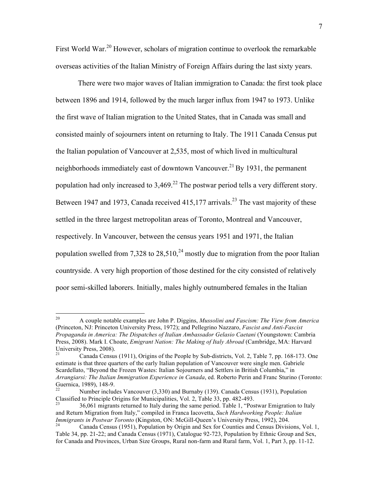First World War.<sup>20</sup> However, scholars of migration continue to overlook the remarkable overseas activities of the Italian Ministry of Foreign Affairs during the last sixty years.

There were two major waves of Italian immigration to Canada: the first took place between 1896 and 1914, followed by the much larger influx from 1947 to 1973. Unlike the first wave of Italian migration to the United States, that in Canada was small and consisted mainly of sojourners intent on returning to Italy. The 1911 Canada Census put the Italian population of Vancouver at 2,535, most of which lived in multicultural neighborhoods immediately east of downtown Vancouver.<sup>21</sup> By 1931, the permanent population had only increased to  $3,469$ <sup>22</sup>. The postwar period tells a very different story. Between 1947 and 1973, Canada received  $415,177$  arrivals.<sup>23</sup> The vast majority of these settled in the three largest metropolitan areas of Toronto, Montreal and Vancouver, respectively. In Vancouver, between the census years 1951 and 1971, the Italian population swelled from 7,328 to 28,510,<sup>24</sup> mostly due to migration from the poor Italian countryside. A very high proportion of those destined for the city consisted of relatively poor semi-skilled laborers. Initially, males highly outnumbered females in the Italian

 <sup>20</sup> A couple notable examples are John P. Diggins, *Mussolini and Fascism: The View from America* (Princeton, NJ: Princeton University Press, 1972); and Pellegrino Nazzaro, *Fascist and Anti-Fascist Propaganda in America: The Dispatches of Italian Ambassador Gelasio Caetani* (Youngstown: Cambria Press, 2008). Mark I. Choate, *Emigrant Nation: The Making of Italy Abroad* (Cambridge, MA: Harvard University Press, 2008).

<sup>21</sup> Canada Census (1911), Origins of the People by Sub-districts, Vol. 2, Table 7, pp. 168-173. One estimate is that three quarters of the early Italian population of Vancouver were single men. Gabriele Scardellato, "Beyond the Frozen Wastes: Italian Sojourners and Settlers in British Columbia," in *Arrangiarsi: The Italian Immigration Experience in Canada*, ed. Roberto Perin and Franc Sturino (Toronto: Guernica, 1989), 148-9.<br><sup>22</sup> Mumber in Hudso V. (2000).

Number includes Vancouver (3,330) and Burnaby (139). Canada Census (1931), Population Classified to Principle Origins for Municipalities, Vol. 2, Table 33, pp. 482-493.<br><sup>23</sup> 36,061 migrants returned to Italy during the same period. Table 1, "Postwar Emigration to Italy

and Return Migration from Italy," compiled in Franca Iacovetta, *Such Hardworking People: Italian Immigrants in Postwar Toronto* (Kingston, ON: McGill-Queen's University Press, 1992), 204.<br><sup>24</sup> Canada Census (1951), Population by Origin and Sex for Counties and Census Divisions, Vol. 1,

Table 34, pp. 21-22; and Canada Census (1971), Catalogue 92-723, Population by Ethnic Group and Sex, for Canada and Provinces, Urban Size Groups, Rural non-farm and Rural farm, Vol. 1, Part 3, pp. 11-12.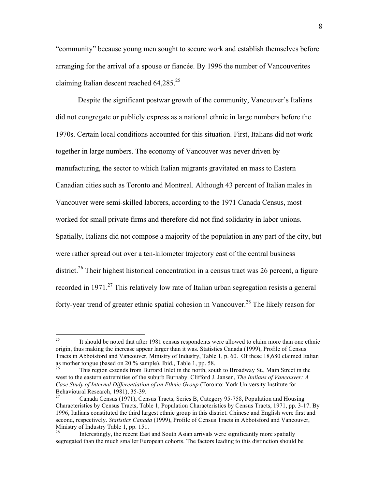"community" because young men sought to secure work and establish themselves before arranging for the arrival of a spouse or fiancée. By 1996 the number of Vancouverites claiming Italian descent reached  $64,285.^{25}$ 

Despite the significant postwar growth of the community, Vancouver's Italians did not congregate or publicly express as a national ethnic in large numbers before the 1970s. Certain local conditions accounted for this situation. First, Italians did not work together in large numbers. The economy of Vancouver was never driven by manufacturing, the sector to which Italian migrants gravitated en mass to Eastern Canadian cities such as Toronto and Montreal. Although 43 percent of Italian males in Vancouver were semi-skilled laborers, according to the 1971 Canada Census, most worked for small private firms and therefore did not find solidarity in labor unions. Spatially, Italians did not compose a majority of the population in any part of the city, but were rather spread out over a ten-kilometer trajectory east of the central business district.<sup>26</sup> Their highest historical concentration in a census tract was 26 percent, a figure recorded in 1971.<sup>27</sup> This relatively low rate of Italian urban segregation resists a general forty-year trend of greater ethnic spatial cohesion in Vancouver.<sup>28</sup> The likely reason for

<sup>&</sup>lt;sup>25</sup> It should be noted that after 1981 census respondents were allowed to claim more than one ethnic origin, thus making the increase appear larger than it was. Statistics Canada (1999), Profile of Census Tracts in Abbotsford and Vancouver, Ministry of Industry, Table 1, p. 60. Of these 18,680 claimed Italian as mother tongue (based on 20 % sample). Ibid., Table 1, pp. 58.<br> $\frac{26}{100}$ . This region extends from Durped Inlet in the north security

<sup>26</sup> This region extends from Burrard Inlet in the north, south to Broadway St., Main Street in the west to the eastern extremities of the suburb Burnaby. Clifford J. Jansen, *The Italians of Vancouver: A Case Study of Internal Differentiation of an Ethnic Group* (Toronto: York University Institute for Behavioural Research, 1981), 35-39.<br><sup>27</sup> Canada Census (1971), Census Tracts, Series B, Category 95-758, Population and Housing

Characteristics by Census Tracts, Table 1, Population Characteristics by Census Tracts, 1971, pp. 3-17. By 1996, Italians constituted the third largest ethnic group in this district. Chinese and English were first and second, respectively. *Statistics Canada* (1999), Profile of Census Tracts in Abbotsford and Vancouver, Ministry of Industry Table 1, pp. 151.<br><sup>28</sup> Interactingly, the recent Fast.

Interestingly, the recent East and South Asian arrivals were significantly more spatially segregated than the much smaller European cohorts. The factors leading to this distinction should be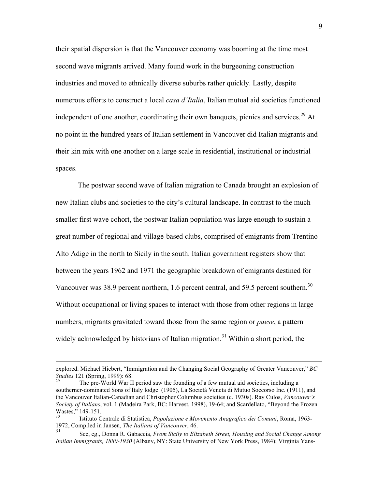their spatial dispersion is that the Vancouver economy was booming at the time most second wave migrants arrived. Many found work in the burgeoning construction industries and moved to ethnically diverse suburbs rather quickly. Lastly, despite numerous efforts to construct a local *casa d'Italia*, Italian mutual aid societies functioned independent of one another, coordinating their own banquets, picnics and services.<sup>29</sup> At no point in the hundred years of Italian settlement in Vancouver did Italian migrants and their kin mix with one another on a large scale in residential, institutional or industrial spaces.

The postwar second wave of Italian migration to Canada brought an explosion of new Italian clubs and societies to the city's cultural landscape. In contrast to the much smaller first wave cohort, the postwar Italian population was large enough to sustain a great number of regional and village-based clubs, comprised of emigrants from Trentino-Alto Adige in the north to Sicily in the south. Italian government registers show that between the years 1962 and 1971 the geographic breakdown of emigrants destined for Vancouver was 38.9 percent northern, 1.6 percent central, and 59.5 percent southern.<sup>30</sup> Without occupational or living spaces to interact with those from other regions in large numbers, migrants gravitated toward those from the same region or *paese*, a pattern widely acknowledged by historians of Italian migration.<sup>31</sup> Within a short period, the

explored. Michael Hiebert, "Immigration and the Changing Social Geography of Greater Vancouver," *BC*<br>*Studies* 121 (Spring, 1999): 68.

The pre-World War II period saw the founding of a few mutual aid societies, including a southerner-dominated Sons of Italy lodge (1905), La Società Veneta di Mutuo Soccorso Inc. (1911), and the Vancouver Italian-Canadian and Christopher Columbus societies (c. 1930s). Ray Culos, *Vancouver's Society of Italians*, vol. 1 (Madeira Park, BC: Harvest, 1998), 19-64; and Scardellato, "Beyond the Frozen Wastes," 149-151.<br><sup>30</sup> Istituto Centrale di Statistica, *Popolazione e Movimento Anagrafico dei Comuni*, Roma, 1963-

<sup>1972,</sup> Compiled in Jansen, *The Italians of Vancouver*, 46.

<sup>31</sup> See, eg., Donna R. Gabaccia, *From Sicily to Elizabeth Street, Housing and Social Change Among Italian Immigrants, 1880-1930* (Albany, NY: State University of New York Press, 1984); Virginia Yans-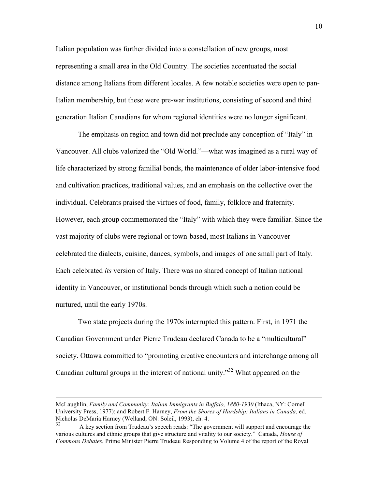Italian population was further divided into a constellation of new groups, most representing a small area in the Old Country. The societies accentuated the social distance among Italians from different locales. A few notable societies were open to pan-Italian membership, but these were pre-war institutions, consisting of second and third generation Italian Canadians for whom regional identities were no longer significant.

The emphasis on region and town did not preclude any conception of "Italy" in Vancouver. All clubs valorized the "Old World."—what was imagined as a rural way of life characterized by strong familial bonds, the maintenance of older labor-intensive food and cultivation practices, traditional values, and an emphasis on the collective over the individual. Celebrants praised the virtues of food, family, folklore and fraternity. However, each group commemorated the "Italy" with which they were familiar. Since the vast majority of clubs were regional or town-based, most Italians in Vancouver celebrated the dialects, cuisine, dances, symbols, and images of one small part of Italy. Each celebrated *its* version of Italy. There was no shared concept of Italian national identity in Vancouver, or institutional bonds through which such a notion could be nurtured, until the early 1970s.

Two state projects during the 1970s interrupted this pattern. First, in 1971 the Canadian Government under Pierre Trudeau declared Canada to be a "multicultural" society. Ottawa committed to "promoting creative encounters and interchange among all Canadian cultural groups in the interest of national unity."<sup>32</sup> What appeared on the

<u>.</u>

McLaughlin, *Family and Community: Italian Immigrants in Buffalo, 1880-1930* (Ithaca, NY: Cornell University Press, 1977); and Robert F. Harney, *From the Shores of Hardship: Italians in Canada*, ed. Nicholas DeMaria Harney (Welland, ON: Soleil, 1993), ch. 4.

<sup>32</sup> A key section from Trudeau's speech reads: "The government will support and encourage the various cultures and ethnic groups that give structure and vitality to our society." Canada, *House of Commons Debates*, Prime Minister Pierre Trudeau Responding to Volume 4 of the report of the Royal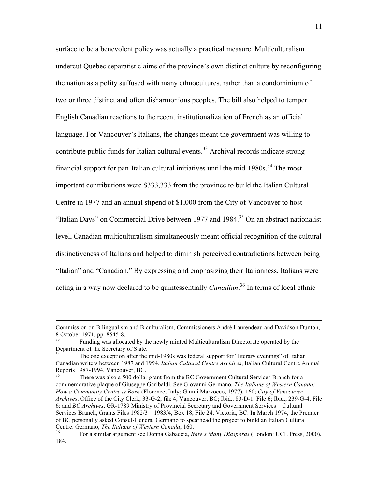surface to be a benevolent policy was actually a practical measure. Multiculturalism undercut Quebec separatist claims of the province's own distinct culture by reconfiguring the nation as a polity suffused with many ethnocultures, rather than a condominium of two or three distinct and often disharmonious peoples. The bill also helped to temper English Canadian reactions to the recent institutionalization of French as an official language. For Vancouver's Italians, the changes meant the government was willing to contribute public funds for Italian cultural events.<sup>33</sup> Archival records indicate strong financial support for pan-Italian cultural initiatives until the mid-1980s. $34$  The most important contributions were \$333,333 from the province to build the Italian Cultural Centre in 1977 and an annual stipend of \$1,000 from the City of Vancouver to host "Italian Days" on Commercial Drive between 1977 and  $1984$ <sup>35</sup> On an abstract nationalist level, Canadian multiculturalism simultaneously meant official recognition of the cultural distinctiveness of Italians and helped to diminish perceived contradictions between being "Italian" and "Canadian." By expressing and emphasizing their Italianness, Italians were acting in a way now declared to be quintessentially *Canadian*. <sup>36</sup> In terms of local ethnic

Commission on Bilingualism and Biculturalism, Commissioners André Laurendeau and Davidson Dunton,<br>8 October 1971, pp. 8545-8.<br><sup>33</sup>

Funding was allocated by the newly minted Multiculturalism Directorate operated by the Department of the Secretary of State.

The one exception after the mid-1980s was federal support for "literary evenings" of Italian Canadian writers between 1987 and 1994. *Italian Cultural Centre Archives*, Italian Cultural Centre Annual Reports 1987-1994, Vancouver, BC.<br>
There was also a 500 dollar grant from the BC Government Cultural Services Branch for a

commemorative plaque of Giuseppe Garibaldi. See Giovanni Germano, *The Italians of Western Canada: How a Community Centre is Born* (Florence, Italy: Giunti Marzocco, 1977), 160; *City of Vancouver Archives*, Office of the City Clerk, 33-G-2, file 4, Vancouver, BC; Ibid., 83-D-1, File 6; Ibid., 239-G-4, File 6; and *BC Archives*, GR-1789 Ministry of Provincial Secretary and Government Services – Cultural Services Branch, Grants Files 1982/3 – 1983/4, Box 18, File 24, Victoria, BC. In March 1974, the Premier of BC personally asked Consul-General Germano to spearhead the project to build an Italian Cultural Centre. Germano, *The Italians of Western Canada*, 160.<br><sup>36</sup> For a similar argument see Donna Gabaccia, *Italy's Many Diasporas* (London: UCL Press, 2000),

<sup>184.</sup>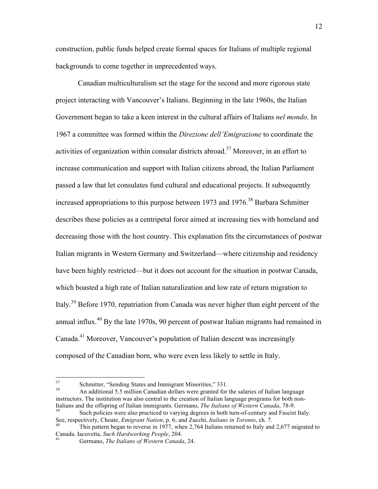construction, public funds helped create formal spaces for Italians of multiple regional backgrounds to come together in unprecedented ways.

Canadian multiculturalism set the stage for the second and more rigorous state project interacting with Vancouver's Italians. Beginning in the late 1960s, the Italian Government began to take a keen interest in the cultural affairs of Italians *nel mondo*. In 1967 a committee was formed within the *Direzione dell'Emigrazione* to coordinate the activities of organization within consular districts abroad.<sup>37</sup> Moreover, in an effort to increase communication and support with Italian citizens abroad, the Italian Parliament passed a law that let consulates fund cultural and educational projects. It subsequently increased appropriations to this purpose between 1973 and 1976.<sup>38</sup> Barbara Schmitter describes these policies as a centripetal force aimed at increasing ties with homeland and decreasing those with the host country. This explanation fits the circumstances of postwar Italian migrants in Western Germany and Switzerland—where citizenship and residency have been highly restricted—but it does not account for the situation in postwar Canada, which boasted a high rate of Italian naturalization and low rate of return migration to Italy.39 Before 1970, repatriation from Canada was never higher than eight percent of the annual influx.<sup>40</sup> By the late 1970s, 90 percent of postwar Italian migrants had remained in Canada.41 Moreover, Vancouver's population of Italian descent was increasingly composed of the Canadian born, who were even less likely to settle in Italy.

 $37$  Schmitter, "Sending States and Immigrant Minorities," 331.<br>38 An additional 5.5 million Canadian dollars were granted for the salaries of Italian language instructors. The institution was also central to the creation of Italian language programs for both non-Italians and the offspring of Italian immigrants. Germano, *The Italians of Western Canada*, 78-9.<br>Such policies were also practiced to varying degrees in both turn-of-century and Fascist Italy.

See, respectively, Choate, *Emigrant Nation*, p. 6; and Zucchi, *Italians in Toronto*, ch. 7.<br><sup>40</sup> This pattern began to reverse in 1977, when 2,764 Italians returned to Italy and 2,677 migrated to

Canada. Iacovetta, *Such Hardworking People*, 204. <sup>41</sup> Germano, *The Italians of Western Canada*, 24.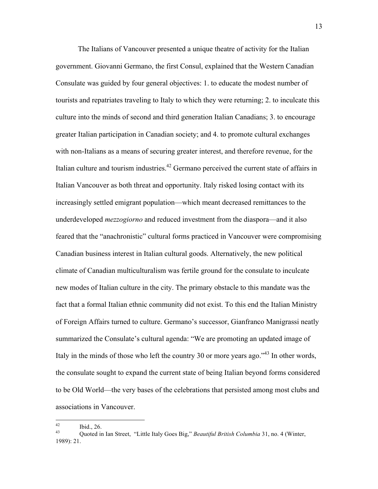The Italians of Vancouver presented a unique theatre of activity for the Italian government. Giovanni Germano, the first Consul, explained that the Western Canadian Consulate was guided by four general objectives: 1. to educate the modest number of tourists and repatriates traveling to Italy to which they were returning; 2. to inculcate this culture into the minds of second and third generation Italian Canadians; 3. to encourage greater Italian participation in Canadian society; and 4. to promote cultural exchanges with non-Italians as a means of securing greater interest, and therefore revenue, for the Italian culture and tourism industries.<sup>42</sup> Germano perceived the current state of affairs in Italian Vancouver as both threat and opportunity. Italy risked losing contact with its increasingly settled emigrant population—which meant decreased remittances to the underdeveloped *mezzogiorno* and reduced investment from the diaspora—and it also feared that the "anachronistic" cultural forms practiced in Vancouver were compromising Canadian business interest in Italian cultural goods. Alternatively, the new political climate of Canadian multiculturalism was fertile ground for the consulate to inculcate new modes of Italian culture in the city. The primary obstacle to this mandate was the fact that a formal Italian ethnic community did not exist. To this end the Italian Ministry of Foreign Affairs turned to culture. Germano's successor, Gianfranco Manigrassi neatly summarized the Consulate's cultural agenda: "We are promoting an updated image of Italy in the minds of those who left the country 30 or more years ago."<sup>43</sup> In other words, the consulate sought to expand the current state of being Italian beyond forms considered to be Old World—the very bases of the celebrations that persisted among most clubs and associations in Vancouver.

<sup>42</sup> Ibid., 26. <sup>43</sup> Quoted in Ian Street, "Little Italy Goes Big," *Beautiful British Columbia* 31, no. 4 (Winter, 1989): 21.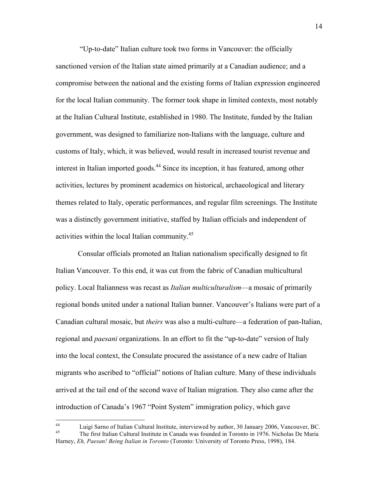"Up-to-date" Italian culture took two forms in Vancouver: the officially sanctioned version of the Italian state aimed primarily at a Canadian audience; and a compromise between the national and the existing forms of Italian expression engineered for the local Italian community. The former took shape in limited contexts, most notably at the Italian Cultural Institute, established in 1980. The Institute, funded by the Italian government, was designed to familiarize non-Italians with the language, culture and customs of Italy, which, it was believed, would result in increased tourist revenue and interest in Italian imported goods.<sup>44</sup> Since its inception, it has featured, among other activities, lectures by prominent academics on historical, archaeological and literary themes related to Italy, operatic performances, and regular film screenings. The Institute was a distinctly government initiative, staffed by Italian officials and independent of activities within the local Italian community.<sup>45</sup>

Consular officials promoted an Italian nationalism specifically designed to fit Italian Vancouver. To this end, it was cut from the fabric of Canadian multicultural policy. Local Italianness was recast as *Italian multiculturalism*—a mosaic of primarily regional bonds united under a national Italian banner. Vancouver's Italians were part of a Canadian cultural mosaic, but *theirs* was also a multi-culture—a federation of pan-Italian, regional and *paesani* organizations. In an effort to fit the "up-to-date" version of Italy into the local context, the Consulate procured the assistance of a new cadre of Italian migrants who ascribed to "official" notions of Italian culture. Many of these individuals arrived at the tail end of the second wave of Italian migration. They also came after the introduction of Canada's 1967 "Point System" immigration policy, which gave

<sup>&</sup>lt;sup>44</sup> Luigi Sarno of Italian Cultural Institute, interviewed by author, 30 January 2006, Vancouver, BC.<br><sup>45</sup> The first Italian Cultural Institute in Canada was founded in Toronto in 1976. Nicholas De Maria Harney, *Eh, Paesan! Being Italian in Toronto* (Toronto: University of Toronto Press, 1998), 184.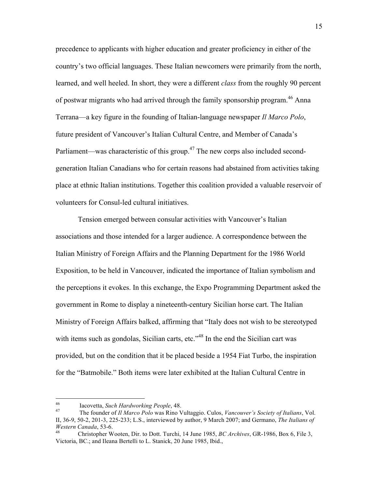precedence to applicants with higher education and greater proficiency in either of the country's two official languages. These Italian newcomers were primarily from the north, learned, and well heeled. In short, they were a different *class* from the roughly 90 percent of postwar migrants who had arrived through the family sponsorship program.<sup>46</sup> Anna Terrana—a key figure in the founding of Italian-language newspaper *Il Marco Polo*, future president of Vancouver's Italian Cultural Centre, and Member of Canada's Parliament—was characteristic of this group.<sup>47</sup> The new corps also included secondgeneration Italian Canadians who for certain reasons had abstained from activities taking place at ethnic Italian institutions. Together this coalition provided a valuable reservoir of volunteers for Consul-led cultural initiatives.

Tension emerged between consular activities with Vancouver's Italian associations and those intended for a larger audience. A correspondence between the Italian Ministry of Foreign Affairs and the Planning Department for the 1986 World Exposition, to be held in Vancouver, indicated the importance of Italian symbolism and the perceptions it evokes. In this exchange, the Expo Programming Department asked the government in Rome to display a nineteenth-century Sicilian horse cart. The Italian Ministry of Foreign Affairs balked, affirming that "Italy does not wish to be stereotyped with items such as gondolas, Sicilian carts, etc.<sup>348</sup> In the end the Sicilian cart was provided, but on the condition that it be placed beside a 1954 Fiat Turbo, the inspiration for the "Batmobile." Both items were later exhibited at the Italian Cultural Centre in

<sup>46</sup> Iacovetta, *Such Hardworking People*, 48. 47 The founder of *Il Marco Polo* was Rino Vultaggio. Culos, *Vancouver's Society of Italians*, Vol. II, 36-9, 50-2, 201-3, 225-233; L.S., interviewed by author, 9 March 2007; and Germano, *The Italians of Western Canada*, 53-6.<br><sup>48</sup> Christopher Wooten, Dir. to Dott. Turchi, 14 June 1985, *BC Archives*, GR-1986, Box 6, File 3,

Victoria, BC.; and Ileana Bertelli to L. Stanick, 20 June 1985, Ibid.,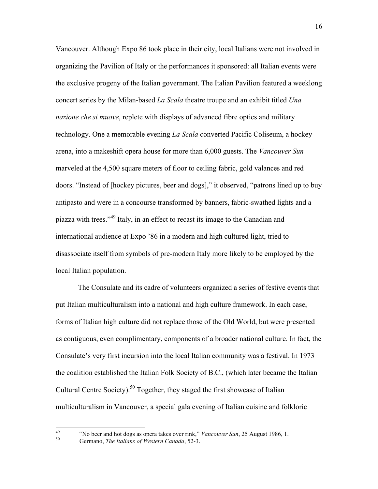Vancouver. Although Expo 86 took place in their city, local Italians were not involved in organizing the Pavilion of Italy or the performances it sponsored: all Italian events were the exclusive progeny of the Italian government. The Italian Pavilion featured a weeklong concert series by the Milan-based *La Scala* theatre troupe and an exhibit titled *Una nazione che si muove*, replete with displays of advanced fibre optics and military technology. One a memorable evening *La Scala* converted Pacific Coliseum, a hockey arena, into a makeshift opera house for more than 6,000 guests. The *Vancouver Sun* marveled at the 4,500 square meters of floor to ceiling fabric, gold valances and red doors. "Instead of [hockey pictures, beer and dogs]," it observed, "patrons lined up to buy antipasto and were in a concourse transformed by banners, fabric-swathed lights and a piazza with trees."<sup>49</sup> Italy, in an effect to recast its image to the Canadian and international audience at Expo '86 in a modern and high cultured light, tried to disassociate itself from symbols of pre-modern Italy more likely to be employed by the local Italian population.

The Consulate and its cadre of volunteers organized a series of festive events that put Italian multiculturalism into a national and high culture framework. In each case, forms of Italian high culture did not replace those of the Old World, but were presented as contiguous, even complimentary, components of a broader national culture. In fact, the Consulate's very first incursion into the local Italian community was a festival. In 1973 the coalition established the Italian Folk Society of B.C., (which later became the Italian Cultural Centre Society).<sup>50</sup> Together, they staged the first showcase of Italian multiculturalism in Vancouver, a special gala evening of Italian cuisine and folkloric

<sup>&</sup>lt;sup>49</sup> "No beer and hot dogs as opera takes over rink," *Vancouver Sun*, 25 August 1986, 1.<br><sup>50</sup> Germano, *The Italians of Western Canada*, 52-3.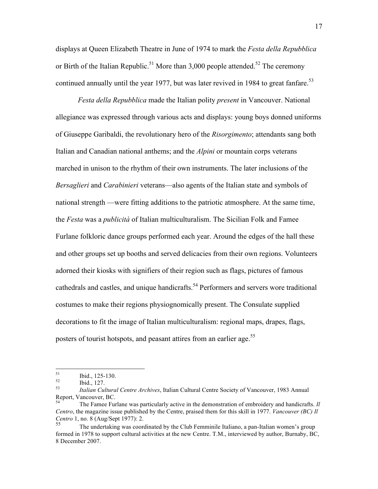displays at Queen Elizabeth Theatre in June of 1974 to mark the *Festa della Repubblica* or Birth of the Italian Republic.<sup>51</sup> More than 3,000 people attended.<sup>52</sup> The ceremony continued annually until the year 1977, but was later revived in 1984 to great fanfare.<sup>53</sup>

*Festa della Repubblica* made the Italian polity *present* in Vancouver. National allegiance was expressed through various acts and displays: young boys donned uniforms of Giuseppe Garibaldi, the revolutionary hero of the *Risorgimento*; attendants sang both Italian and Canadian national anthems; and the *Alpini* or mountain corps veterans marched in unison to the rhythm of their own instruments. The later inclusions of the *Bersaglieri* and *Carabinieri* veterans—also agents of the Italian state and symbols of national strength —were fitting additions to the patriotic atmosphere. At the same time, the *Festa* was a *publicità* of Italian multiculturalism. The Sicilian Folk and Famee Furlane folkloric dance groups performed each year. Around the edges of the hall these and other groups set up booths and served delicacies from their own regions. Volunteers adorned their kiosks with signifiers of their region such as flags, pictures of famous cathedrals and castles, and unique handicrafts.<sup>54</sup> Performers and servers wore traditional costumes to make their regions physiognomically present. The Consulate supplied decorations to fit the image of Italian multiculturalism: regional maps, drapes, flags, posters of tourist hotspots, and peasant attires from an earlier age.<sup>55</sup>

<sup>51</sup> Ibid., 125-130. 52 Ibid., 127. <sup>53</sup> *Italian Cultural Centre Archives*, Italian Cultural Centre Society of Vancouver, 1983 Annual Report, Vancouver, BC.

<sup>54</sup> The Famee Furlane was particularly active in the demonstration of embroidery and handicrafts. *Il Centro*, the magazine issue published by the Centre, praised them for this skill in 1977. *Vancouver (BC) Il Centro* 1, no. 8 (Aug/Sept 1977): 2.

<sup>55</sup> The undertaking was coordinated by the Club Femminile Italiano, a pan-Italian women's group formed in 1978 to support cultural activities at the new Centre. T.M., interviewed by author, Burnaby, BC, 8 December 2007.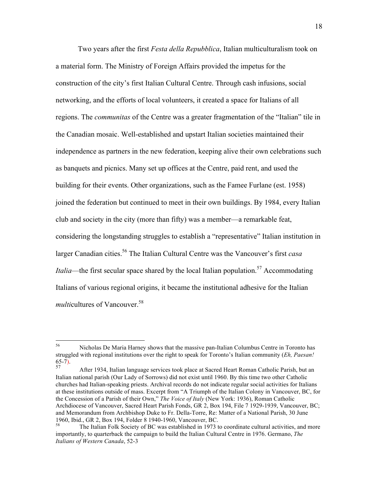Two years after the first *Festa della Repubblica*, Italian multiculturalism took on a material form. The Ministry of Foreign Affairs provided the impetus for the construction of the city's first Italian Cultural Centre. Through cash infusions, social networking, and the efforts of local volunteers, it created a space for Italians of all regions. The *communitas* of the Centre was a greater fragmentation of the "Italian" tile in the Canadian mosaic. Well-established and upstart Italian societies maintained their independence as partners in the new federation, keeping alive their own celebrations such as banquets and picnics. Many set up offices at the Centre, paid rent, and used the building for their events. Other organizations, such as the Famee Furlane (est. 1958) joined the federation but continued to meet in their own buildings. By 1984, every Italian club and society in the city (more than fifty) was a member—a remarkable feat, considering the longstanding struggles to establish a "representative" Italian institution in larger Canadian cities.56 The Italian Cultural Centre was the Vancouver's first *casa Italia*—the first secular space shared by the local Italian population.<sup>57</sup> Accommodating Italians of various regional origins, it became the institutional adhesive for the Italian *multicultures* of Vancouver.<sup>58</sup>

 <sup>56</sup> Nicholas De Maria Harney shows that the massive pan-Italian Columbus Centre in Toronto has struggled with regional institutions over the right to speak for Toronto's Italian community (*Eh, Paesan!*  65-7). 57 After 1934, Italian language services took place at Sacred Heart Roman Catholic Parish, but an

Italian national parish (Our Lady of Sorrows) did not exist until 1960. By this time two other Catholic churches had Italian-speaking priests. Archival records do not indicate regular social activities for Italians at these institutions outside of mass. Excerpt from "A Triumph of the Italian Colony in Vancouver, BC, for the Concession of a Parish of their Own," *The Voice of Italy* (New York: 1936), Roman Catholic Archdiocese of Vancouver, Sacred Heart Parish Fonds, GR 2, Box 194, File 7 1929-1939, Vancouver, BC; and Memorandum from Archbishop Duke to Fr. Della-Torre, Re: Matter of a National Parish, 30 June 1960, Ibid., GR 2, Box 194, Folder 8 1940-1960, Vancouver, BC.<br><sup>58</sup> The Italian Folk Society of BC was established in 1973 to coordinate cultural activities, and more

importantly, to quarterback the campaign to build the Italian Cultural Centre in 1976. Germano, *The Italians of Western Canada*, 52-3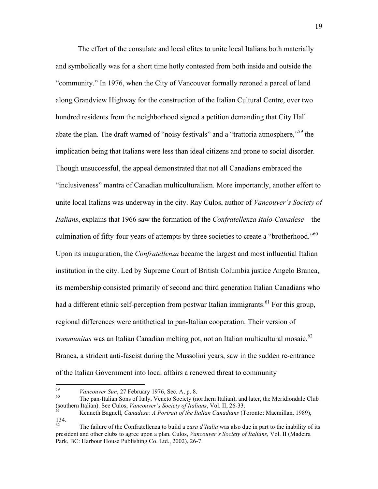The effort of the consulate and local elites to unite local Italians both materially and symbolically was for a short time hotly contested from both inside and outside the "community." In 1976, when the City of Vancouver formally rezoned a parcel of land along Grandview Highway for the construction of the Italian Cultural Centre, over two hundred residents from the neighborhood signed a petition demanding that City Hall abate the plan. The draft warned of "noisy festivals" and a "trattoria atmosphere,"<sup>59</sup> the implication being that Italians were less than ideal citizens and prone to social disorder. Though unsuccessful, the appeal demonstrated that not all Canadians embraced the "inclusiveness" mantra of Canadian multiculturalism. More importantly, another effort to unite local Italians was underway in the city. Ray Culos, author of *Vancouver's Society of Italians*, explains that 1966 saw the formation of the *Confratellenza Italo-Canadese*—the culmination of fifty-four years of attempts by three societies to create a "brotherhood."<sup>60</sup> Upon its inauguration, the *Confratellenza* became the largest and most influential Italian institution in the city. Led by Supreme Court of British Columbia justice Angelo Branca, its membership consisted primarily of second and third generation Italian Canadians who had a different ethnic self-perception from postwar Italian immigrants.<sup>61</sup> For this group, regional differences were antithetical to pan-Italian cooperation. Their version of *communitas* was an Italian Canadian melting pot, not an Italian multicultural mosaic.<sup>62</sup> Branca, a strident anti-fascist during the Mussolini years, saw in the sudden re-entrance of the Italian Government into local affairs a renewed threat to community

<sup>&</sup>lt;sup>59</sup> *Vancouver Sun*, 27 February 1976, Sec. A, p. 8.<br><sup>60</sup> The pan-Italian Sons of Italy, Veneto Society (northern Italian), and later, the Meridiondale Club (southern Italian). See Culos, *Vancouver's Society of Italians*, Vol. II, 26-33.<br><sup>61</sup> Kenneth Bagnell, *Canadese: A Portrait of the Italian Canadians* (Toronto: Macmillan, 1989),

<sup>134.</sup> 

<sup>62</sup> The failure of the Confratellenza to build a c*asa d'Italia* was also due in part to the inability of its president and other clubs to agree upon a plan. Culos, *Vancouver's Society of Italians*, Vol. II (Madeira Park, BC: Harbour House Publishing Co. Ltd., 2002), 26-7.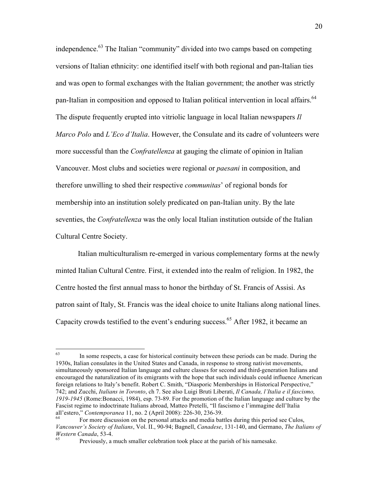independence.<sup>63</sup> The Italian "community" divided into two camps based on competing versions of Italian ethnicity: one identified itself with both regional and pan-Italian ties and was open to formal exchanges with the Italian government; the another was strictly pan-Italian in composition and opposed to Italian political intervention in local affairs.<sup>64</sup> The dispute frequently erupted into vitriolic language in local Italian newspapers *Il Marco Polo* and *L'Eco d'Italia*. However, the Consulate and its cadre of volunteers were more successful than the *Confratellenza* at gauging the climate of opinion in Italian Vancouver. Most clubs and societies were regional or *paesani* in composition, and therefore unwilling to shed their respective *communitas*' of regional bonds for membership into an institution solely predicated on pan-Italian unity. By the late seventies, the *Confratellenza* was the only local Italian institution outside of the Italian Cultural Centre Society.

Italian multiculturalism re-emerged in various complementary forms at the newly minted Italian Cultural Centre. First, it extended into the realm of religion. In 1982, the Centre hosted the first annual mass to honor the birthday of St. Francis of Assisi. As patron saint of Italy, St. Francis was the ideal choice to unite Italians along national lines. Capacity crowds testified to the event's enduring success.<sup>65</sup> After 1982, it became an

<sup>&</sup>lt;sup>63</sup> In some respects, a case for historical continuity between these periods can be made. During the 1930s, Italian consulates in the United States and Canada, in response to strong nativist movements, simultaneously sponsored Italian language and culture classes for second and third-generation Italians and encouraged the naturalization of its emigrants with the hope that such individuals could influence American foreign relations to Italy's benefit. Robert C. Smith, "Diasporic Memberships in Historical Perspective," 742; and Zucchi, *Italians in Toronto*, ch 7. See also Luigi Bruti Liberati, *Il Canada, l'Italia e il fascismo, 1919-1945* (Rome:Bonacci, 1984), esp. 73-89. For the promotion of the Italian language and culture by the Fascist regime to indoctrinate Italians abroad, Matteo Pretelli, "Il fascismo e l'immagine dell'Italia

For more discussion on the personal attacks and media battles during this period see Culos, *Vancouver's Society of Italians*, Vol. II., 90-94; Bagnell, *Canadese*, 131-140, and Germano, *The Italians of Western Canada*, 53-4.<br><sup>65</sup> Previously, a much smaller celebration took place at the parish of his namesake.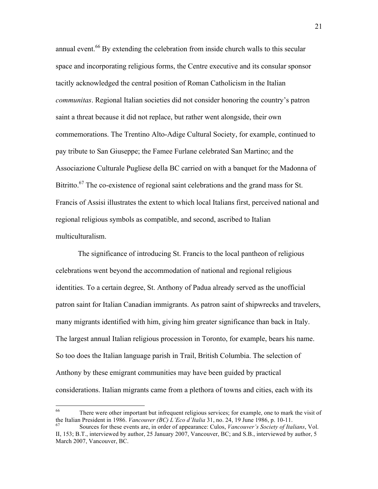annual event.<sup>66</sup> By extending the celebration from inside church walls to this secular space and incorporating religious forms, the Centre executive and its consular sponsor tacitly acknowledged the central position of Roman Catholicism in the Italian *communitas*. Regional Italian societies did not consider honoring the country's patron saint a threat because it did not replace, but rather went alongside, their own commemorations. The Trentino Alto-Adige Cultural Society, for example, continued to pay tribute to San Giuseppe; the Famee Furlane celebrated San Martino; and the Associazione Culturale Pugliese della BC carried on with a banquet for the Madonna of Bitritto.<sup>67</sup> The co-existence of regional saint celebrations and the grand mass for St. Francis of Assisi illustrates the extent to which local Italians first, perceived national and regional religious symbols as compatible, and second, ascribed to Italian multiculturalism.

The significance of introducing St. Francis to the local pantheon of religious celebrations went beyond the accommodation of national and regional religious identities. To a certain degree, St. Anthony of Padua already served as the unofficial patron saint for Italian Canadian immigrants. As patron saint of shipwrecks and travelers, many migrants identified with him, giving him greater significance than back in Italy. The largest annual Italian religious procession in Toronto, for example, bears his name. So too does the Italian language parish in Trail, British Columbia. The selection of Anthony by these emigrant communities may have been guided by practical considerations. Italian migrants came from a plethora of towns and cities, each with its

<sup>&</sup>lt;sup>66</sup> There were other important but infrequent religious services; for example, one to mark the visit of the Italian President in 1986. *Vancouver (BC) L'Eco d'Italia* 31, no. 24, 19 June 1986, p. 10-11.<br><sup>67</sup> Sources for these events are, in order of appearance: Culos, *Vancouver's Society of Italians*, Vol.

II, 153; B.T., interviewed by author, 25 January 2007, Vancouver, BC; and S.B., interviewed by author, 5 March 2007, Vancouver, BC.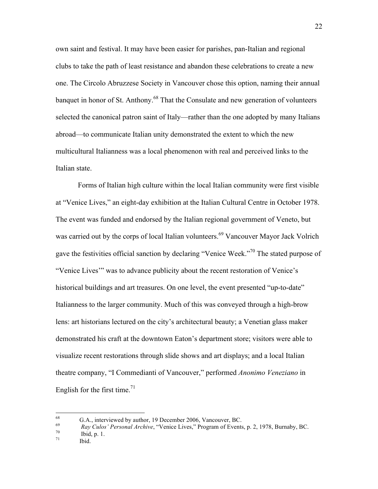own saint and festival. It may have been easier for parishes, pan-Italian and regional clubs to take the path of least resistance and abandon these celebrations to create a new one. The Circolo Abruzzese Society in Vancouver chose this option, naming their annual banquet in honor of St. Anthony.<sup>68</sup> That the Consulate and new generation of volunteers selected the canonical patron saint of Italy—rather than the one adopted by many Italians abroad—to communicate Italian unity demonstrated the extent to which the new multicultural Italianness was a local phenomenon with real and perceived links to the Italian state.

Forms of Italian high culture within the local Italian community were first visible at "Venice Lives," an eight-day exhibition at the Italian Cultural Centre in October 1978. The event was funded and endorsed by the Italian regional government of Veneto, but was carried out by the corps of local Italian volunteers.<sup>69</sup> Vancouver Mayor Jack Volrich gave the festivities official sanction by declaring "Venice Week."<sup>70</sup> The stated purpose of "Venice Lives'" was to advance publicity about the recent restoration of Venice's historical buildings and art treasures. On one level, the event presented "up-to-date" Italianness to the larger community. Much of this was conveyed through a high-brow lens: art historians lectured on the city's architectural beauty; a Venetian glass maker demonstrated his craft at the downtown Eaton's department store; visitors were able to visualize recent restorations through slide shows and art displays; and a local Italian theatre company, "I Commedianti of Vancouver," performed *Anonimo Veneziano* in English for the first time.<sup>71</sup>

<sup>68</sup> G.A., interviewed by author, 19 December 2006, Vancouver, BC.<br> *Ray Culos' Personal Archive*, "Venice Lives," Program of Events, p. 2, 1978, Burnaby, BC.<br> *Tomagne 1.* Ibid. p. 1.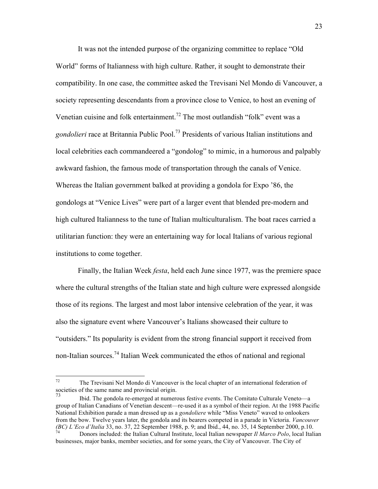It was not the intended purpose of the organizing committee to replace "Old World" forms of Italianness with high culture. Rather, it sought to demonstrate their compatibility. In one case, the committee asked the Trevisani Nel Mondo di Vancouver, a society representing descendants from a province close to Venice, to host an evening of Venetian cuisine and folk entertainment.<sup>72</sup> The most outlandish "folk" event was a *gondolieri* race at Britannia Public Pool.<sup>73</sup> Presidents of various Italian institutions and local celebrities each commandeered a "gondolog" to mimic, in a humorous and palpably awkward fashion, the famous mode of transportation through the canals of Venice. Whereas the Italian government balked at providing a gondola for Expo '86, the gondologs at "Venice Lives" were part of a larger event that blended pre-modern and high cultured Italianness to the tune of Italian multiculturalism. The boat races carried a utilitarian function: they were an entertaining way for local Italians of various regional institutions to come together.

Finally, the Italian Week *festa*, held each June since 1977, was the premiere space where the cultural strengths of the Italian state and high culture were expressed alongside those of its regions. The largest and most labor intensive celebration of the year, it was also the signature event where Vancouver's Italians showcased their culture to "outsiders." Its popularity is evident from the strong financial support it received from non-Italian sources.74 Italian Week communicated the ethos of national and regional

 $72$  The Trevisani Nel Mondo di Vancouver is the local chapter of an international federation of societies of the same name and provincial origin.

<sup>73</sup> Ibid. The gondola re-emerged at numerous festive events. The Comitato Culturale Veneto—a group of Italian Canadians of Venetian descent—re-used it as a symbol of their region. At the 1988 Pacific National Exhibition parade a man dressed up as a *gondoliere* while "Miss Veneto" waved to onlookers from the bow. Twelve years later, the gondola and its bearers competed in a parade in Victoria. *Vancouver (BC) L'Eco d'Italia* 33, no. 37, 22 September 1988, p. 9; and Ibid., 44, no. 35, 14 September 2000, p.10.<br>Donors included: the Italian Cultural Institute, local Italian newspaper *Il Marco Polo*, local Italian

businesses, major banks, member societies, and for some years, the City of Vancouver. The City of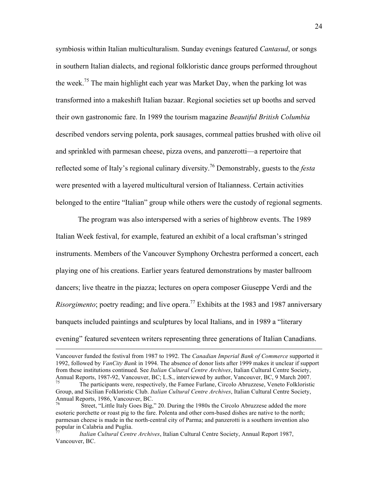symbiosis within Italian multiculturalism. Sunday evenings featured *Cantasud*, or songs in southern Italian dialects, and regional folkloristic dance groups performed throughout the week.<sup>75</sup> The main highlight each year was Market Day, when the parking lot was transformed into a makeshift Italian bazaar. Regional societies set up booths and served their own gastronomic fare. In 1989 the tourism magazine *Beautiful British Columbia* described vendors serving polenta, pork sausages, cornmeal patties brushed with olive oil and sprinkled with parmesan cheese, pizza ovens, and panzerotti—a repertoire that reflected some of Italy's regional culinary diversity.<sup>76</sup> Demonstrably, guests to the *festa* were presented with a layered multicultural version of Italianness. Certain activities belonged to the entire "Italian" group while others were the custody of regional segments.

The program was also interspersed with a series of highbrow events. The 1989 Italian Week festival, for example, featured an exhibit of a local craftsman's stringed instruments. Members of the Vancouver Symphony Orchestra performed a concert, each playing one of his creations. Earlier years featured demonstrations by master ballroom dancers; live theatre in the piazza; lectures on opera composer Giuseppe Verdi and the *Risorgimento*; poetry reading; and live opera.<sup>77</sup> Exhibits at the 1983 and 1987 anniversary banquets included paintings and sculptures by local Italians, and in 1989 a "literary evening" featured seventeen writers representing three generations of Italian Canadians.

Vancouver funded the festival from 1987 to 1992. The *Canadian Imperial Bank of Commerce* supported it 1992, followed by *VanCity Bank* in 1994. The absence of donor lists after 1999 makes it unclear if support from these institutions continued. See *Italian Cultural Centre Archives*, Italian Cultural Centre Society, Annual Reports, 1987-92, Vancouver, BC; L.S., interviewed by author, Vancouver, BC, 9 March 2007.<br>The participants were, respectively, the Famee Furlane, Circolo Abruzzese, Veneto Folkloristic

Group, and Sicilian Folkloristic Club. *Italian Cultural Centre Archives*, Italian Cultural Centre Society, Annual Reports, 1986, Vancouver, BC.

<sup>76</sup> Street, "Little Italy Goes Big," 20. During the 1980s the Circolo Abruzzese added the more esoteric porchette or roast pig to the fare. Polenta and other corn-based dishes are native to the north; parmesan cheese is made in the north-central city of Parma; and panzerotti is a southern invention also popular in Calabria and Puglia.

<sup>77</sup> *Italian Cultural Centre Archives*, Italian Cultural Centre Society, Annual Report 1987, Vancouver, BC.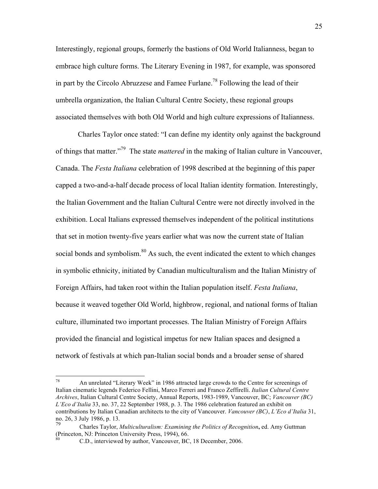Interestingly, regional groups, formerly the bastions of Old World Italianness, began to embrace high culture forms. The Literary Evening in 1987, for example, was sponsored in part by the Circolo Abruzzese and Famee Furlane.<sup>78</sup> Following the lead of their umbrella organization, the Italian Cultural Centre Society, these regional groups associated themselves with both Old World and high culture expressions of Italianness.

Charles Taylor once stated: "I can define my identity only against the background of things that matter."79 The state *mattered* in the making of Italian culture in Vancouver, Canada. The *Festa Italiana* celebration of 1998 described at the beginning of this paper capped a two-and-a-half decade process of local Italian identity formation. Interestingly, the Italian Government and the Italian Cultural Centre were not directly involved in the exhibition. Local Italians expressed themselves independent of the political institutions that set in motion twenty-five years earlier what was now the current state of Italian social bonds and symbolism. $80$  As such, the event indicated the extent to which changes in symbolic ethnicity, initiated by Canadian multiculturalism and the Italian Ministry of Foreign Affairs, had taken root within the Italian population itself. *Festa Italiana*, because it weaved together Old World, highbrow, regional, and national forms of Italian culture, illuminated two important processes. The Italian Ministry of Foreign Affairs provided the financial and logistical impetus for new Italian spaces and designed a network of festivals at which pan-Italian social bonds and a broader sense of shared

<sup>&</sup>lt;sup>78</sup> An unrelated "Literary Week" in 1986 attracted large crowds to the Centre for screenings of Italian cinematic legends Federico Fellini, Marco Ferreri and Franco Zeffirelli. *Italian Cultural Centre Archives*, Italian Cultural Centre Society, Annual Reports, 1983-1989, Vancouver, BC; *Vancouver (BC) L'Eco d'Italia* 33, no. 37, 22 September 1988, p. 3. The 1986 celebration featured an exhibit on contributions by Italian Canadian architects to the city of Vancouver. *Vancouver (BC)*, *L'Eco d'Italia* 31, no. 26, 3 July 1986, p. 13.

<sup>79</sup> Charles Taylor, *Multiculturalism: Examining the Politics of Recognition***,** ed. Amy Guttman (Princeton, NJ: Princeton University Press, 1994), 66.

C.D., interviewed by author, Vancouver, BC, 18 December, 2006.